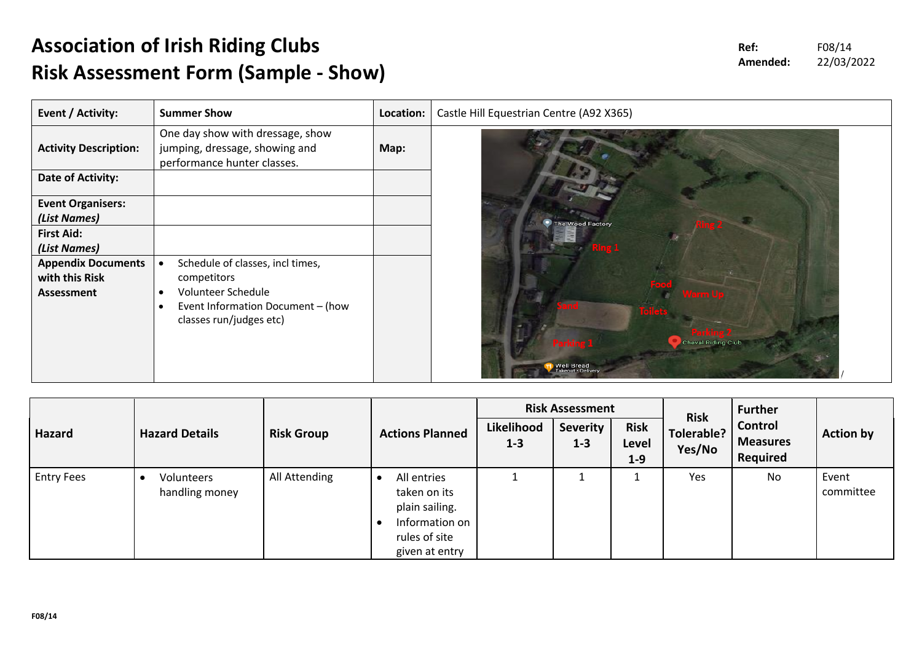## **Association of Irish Riding Clubs Risk Assessment Form (Sample - Show)**

| Event / Activity:            | <b>Summer Show</b>                                                                                | Location: |  |
|------------------------------|---------------------------------------------------------------------------------------------------|-----------|--|
| <b>Activity Description:</b> | One day show with dressage, show<br>jumping, dressage, showing and<br>performance hunter classes. | Map:      |  |
| Date of Activity:            |                                                                                                   |           |  |
| <b>Event Organisers:</b>     |                                                                                                   |           |  |
| (List Names)                 |                                                                                                   |           |  |
| <b>First Aid:</b>            |                                                                                                   |           |  |
| (List Names)                 |                                                                                                   |           |  |
| <b>Appendix Documents</b>    | Schedule of classes, incl times,<br>$\bullet$                                                     |           |  |
| with this Risk               | competitors                                                                                       |           |  |
| Assessment                   | Volunteer Schedule<br>$\bullet$<br>Event Information Document - (how<br>$\bullet$                 |           |  |
|                              | classes run/judges etc)                                                                           |           |  |
|                              |                                                                                                   |           |  |
|                              |                                                                                                   |           |  |
|                              |                                                                                                   |           |  |

|                   | <b>Hazard Details</b>        | <b>Risk Group</b> |                                                                                                    |                       | <b>Risk Assessment</b>     |                                 | <b>Risk</b><br>Tolerable?<br>Yes/No | <b>Further</b><br>Control<br><b>Measures</b><br>Required | <b>Action by</b>   |
|-------------------|------------------------------|-------------------|----------------------------------------------------------------------------------------------------|-----------------------|----------------------------|---------------------------------|-------------------------------------|----------------------------------------------------------|--------------------|
| Hazard            |                              |                   | <b>Actions Planned</b>                                                                             | Likelihood<br>$1 - 3$ | <b>Severity</b><br>$1 - 3$ | <b>Risk</b><br>Level<br>$1 - 9$ |                                     |                                                          |                    |
| <b>Entry Fees</b> | Volunteers<br>handling money | All Attending     | All entries<br>taken on its<br>plain sailing.<br>Information on<br>rules of site<br>given at entry |                       |                            |                                 | Yes                                 | No                                                       | Event<br>committee |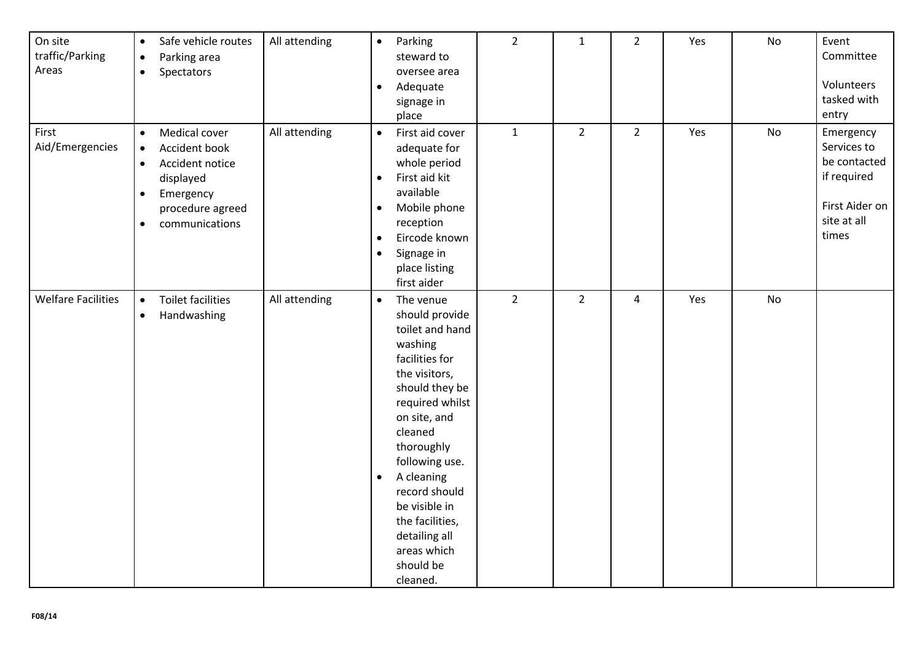| On site<br>traffic/Parking<br>Areas | Safe vehicle routes<br>$\bullet$<br>Parking area<br>$\bullet$<br>Spectators<br>$\bullet$                                                                                           | All attending | $\bullet$<br>$\bullet$                                        | Parking<br>steward to<br>oversee area<br>Adequate<br>signage in<br>place                                                                                                                                                                                                                                                 | $\overline{2}$ | $\mathbf{1}$   | $\overline{2}$ | Yes | No | Event<br>Committee<br>Volunteers<br>tasked with<br>entry                                          |
|-------------------------------------|------------------------------------------------------------------------------------------------------------------------------------------------------------------------------------|---------------|---------------------------------------------------------------|--------------------------------------------------------------------------------------------------------------------------------------------------------------------------------------------------------------------------------------------------------------------------------------------------------------------------|----------------|----------------|----------------|-----|----|---------------------------------------------------------------------------------------------------|
| First<br>Aid/Emergencies            | Medical cover<br>$\bullet$<br>Accident book<br>$\bullet$<br>Accident notice<br>$\bullet$<br>displayed<br>Emergency<br>$\bullet$<br>procedure agreed<br>communications<br>$\bullet$ | All attending | $\bullet$<br>$\bullet$<br>$\bullet$<br>$\bullet$<br>$\bullet$ | First aid cover<br>adequate for<br>whole period<br>First aid kit<br>available<br>Mobile phone<br>reception<br>Eircode known<br>Signage in<br>place listing<br>first aider                                                                                                                                                | $\mathbf 1$    | $\overline{2}$ | $\overline{2}$ | Yes | No | Emergency<br>Services to<br>be contacted<br>if required<br>First Aider on<br>site at all<br>times |
| <b>Welfare Facilities</b>           | <b>Toilet facilities</b><br>$\bullet$<br>Handwashing<br>$\bullet$                                                                                                                  | All attending | $\bullet$<br>$\bullet$                                        | The venue<br>should provide<br>toilet and hand<br>washing<br>facilities for<br>the visitors,<br>should they be<br>required whilst<br>on site, and<br>cleaned<br>thoroughly<br>following use.<br>A cleaning<br>record should<br>be visible in<br>the facilities,<br>detailing all<br>areas which<br>should be<br>cleaned. | $\overline{2}$ | $\overline{2}$ | $\overline{4}$ | Yes | No |                                                                                                   |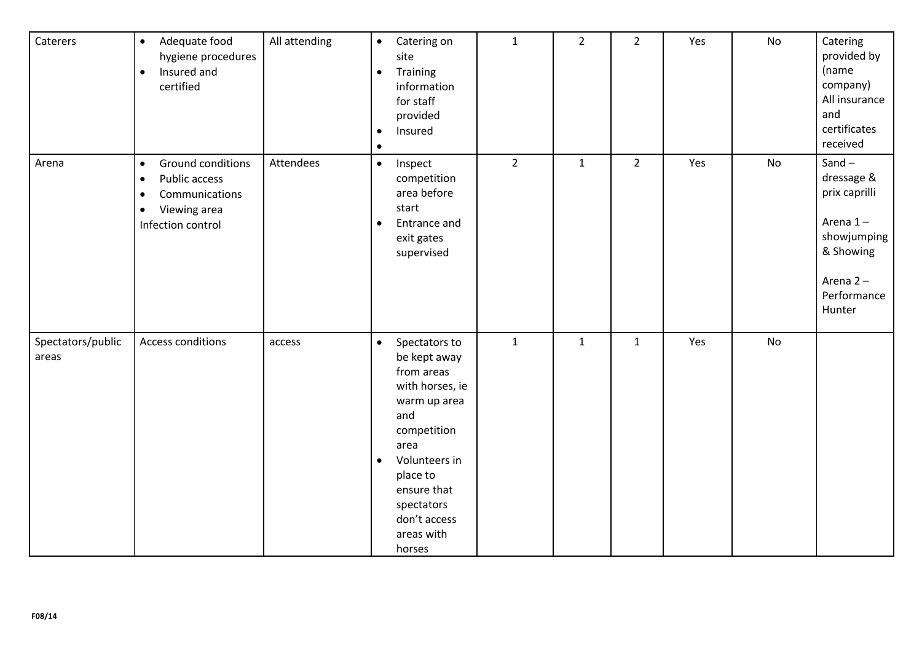| Caterers                   | $\bullet$<br>Adequate food<br>hygiene procedures<br>Insured and<br>$\bullet$<br>certified                                                     | All attending | $\bullet$<br>$\bullet$<br>$\bullet$<br>$\bullet$ | Catering on<br>site<br>Training<br>information<br>for staff<br>provided<br>Insured                                                                                                                             | $\mathbf 1$ | $\overline{2}$ | $\overline{2}$ | Yes | No        | Catering<br>provided by<br>(name<br>company)<br>All insurance<br>and<br>certificates<br>received                     |
|----------------------------|-----------------------------------------------------------------------------------------------------------------------------------------------|---------------|--------------------------------------------------|----------------------------------------------------------------------------------------------------------------------------------------------------------------------------------------------------------------|-------------|----------------|----------------|-----|-----------|----------------------------------------------------------------------------------------------------------------------|
| Arena                      | Ground conditions<br>$\bullet$<br>Public access<br>$\bullet$<br>Communications<br>$\bullet$<br>Viewing area<br>$\bullet$<br>Infection control | Attendees     | $\bullet$<br>$\bullet$                           | Inspect<br>competition<br>area before<br>start<br>Entrance and<br>exit gates<br>supervised                                                                                                                     | $2^{\circ}$ | $\mathbf{1}$   | $\overline{2}$ | Yes | No        | Sand $-$<br>dressage &<br>prix caprilli<br>Arena 1-<br>showjumping<br>& Showing<br>Arena 2-<br>Performance<br>Hunter |
| Spectators/public<br>areas | Access conditions                                                                                                                             | access        | $\bullet$<br>$\bullet$                           | Spectators to<br>be kept away<br>from areas<br>with horses, ie<br>warm up area<br>and<br>competition<br>area<br>Volunteers in<br>place to<br>ensure that<br>spectators<br>don't access<br>areas with<br>horses | $\mathbf 1$ | $\mathbf{1}$   | $\mathbf{1}$   | Yes | <b>No</b> |                                                                                                                      |